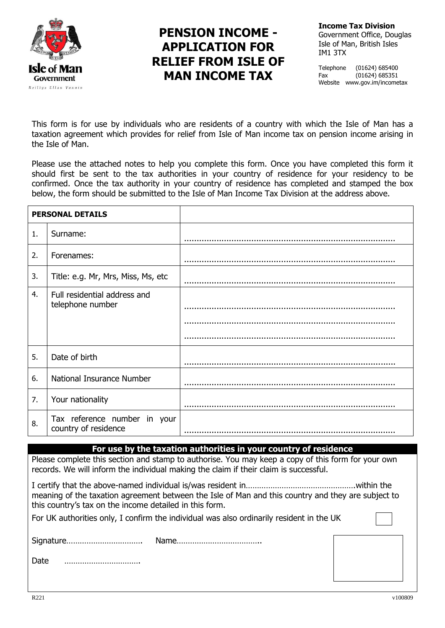

# **PENSION INCOME - APPLICATION FOR RELIEF FROM ISLE OF MAN INCOME TAX**

**Income Tax Division** Government Office, Douglas Isle of Man, British Isles IM1 3TX

Telephone (01624) 685400 Fax (01624) 685351 Website www.gov.im/incometax

This form is for use by individuals who are residents of a country with which the Isle of Man has a taxation agreement which provides for relief from Isle of Man income tax on pension income arising in the Isle of Man.

Please use the attached notes to help you complete this form. Once you have completed this form it should first be sent to the tax authorities in your country of residence for your residency to be confirmed. Once the tax authority in your country of residence has completed and stamped the box below, the form should be submitted to the Isle of Man Income Tax Division at the address above.

| <b>PERSONAL DETAILS</b> |                                                      |  |
|-------------------------|------------------------------------------------------|--|
| $\mathbf{1}$ .          | Surname:                                             |  |
| 2.                      | Forenames:                                           |  |
| 3.                      | Title: e.g. Mr, Mrs, Miss, Ms, etc                   |  |
| 4.                      | Full residential address and<br>telephone number     |  |
| 5.                      | Date of birth                                        |  |
| 6.                      | National Insurance Number                            |  |
| 7.                      | Your nationality                                     |  |
| 8.                      | Tax reference number in your<br>country of residence |  |

#### **For use by the taxation authorities in your country of residence**

Please complete this section and stamp to authorise. You may keep a copy of this form for your own records. We will inform the individual making the claim if their claim is successful.

I certify that the above-named individual is/was resident in………………………………………….within the meaning of the taxation agreement between the Isle of Man and this country and they are subject to this country's tax on the income detailed in this form.

For UK authorities only, I confirm the individual was also ordinarily resident in the UK

Signature……………………………. Name………………………………..

Date …………………………….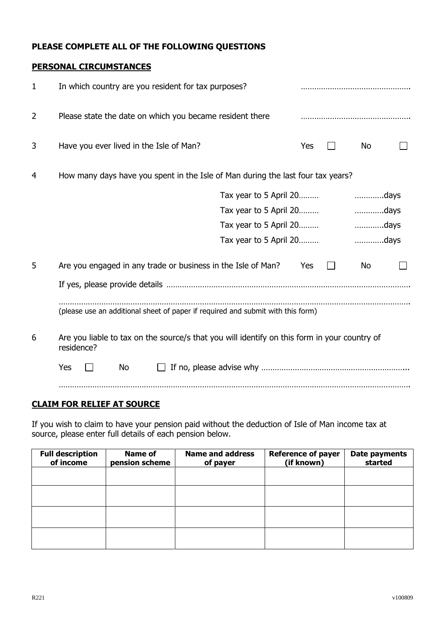# **PLEASE COMPLETE ALL OF THE FOLLOWING QUESTIONS**

#### **PERSONAL CIRCUMSTANCES**

| 1                                                                                                               | In which country are you resident for tax purposes?                             |                        |     |  |           |  |
|-----------------------------------------------------------------------------------------------------------------|---------------------------------------------------------------------------------|------------------------|-----|--|-----------|--|
| 2                                                                                                               | Please state the date on which you became resident there                        |                        |     |  |           |  |
| 3                                                                                                               | Have you ever lived in the Isle of Man?                                         |                        | Yes |  | <b>No</b> |  |
| 4                                                                                                               | How many days have you spent in the Isle of Man during the last four tax years? |                        |     |  |           |  |
|                                                                                                                 |                                                                                 |                        |     |  |           |  |
|                                                                                                                 |                                                                                 | Tax year to 5 April 20 |     |  | days      |  |
|                                                                                                                 |                                                                                 | Tax year to 5 April 20 |     |  | days      |  |
|                                                                                                                 |                                                                                 |                        |     |  |           |  |
| 5                                                                                                               | Are you engaged in any trade or business in the Isle of Man?                    |                        | Yes |  | No        |  |
|                                                                                                                 |                                                                                 |                        |     |  |           |  |
|                                                                                                                 | (please use an additional sheet of paper if required and submit with this form) |                        |     |  |           |  |
| Are you liable to tax on the source/s that you will identify on this form in your country of<br>6<br>residence? |                                                                                 |                        |     |  |           |  |
|                                                                                                                 | Yes<br><b>No</b>                                                                |                        |     |  |           |  |
|                                                                                                                 |                                                                                 |                        |     |  |           |  |

# **CLAIM FOR RELIEF AT SOURCE**

If you wish to claim to have your pension paid without the deduction of Isle of Man income tax at source, please enter full details of each pension below.

| <b>Full description</b><br>of income | <b>Name of</b><br>pension scheme | <b>Name and address</b><br>of payer | <b>Reference of payer</b><br>(if known) | Date payments<br>started |
|--------------------------------------|----------------------------------|-------------------------------------|-----------------------------------------|--------------------------|
|                                      |                                  |                                     |                                         |                          |
|                                      |                                  |                                     |                                         |                          |
|                                      |                                  |                                     |                                         |                          |
|                                      |                                  |                                     |                                         |                          |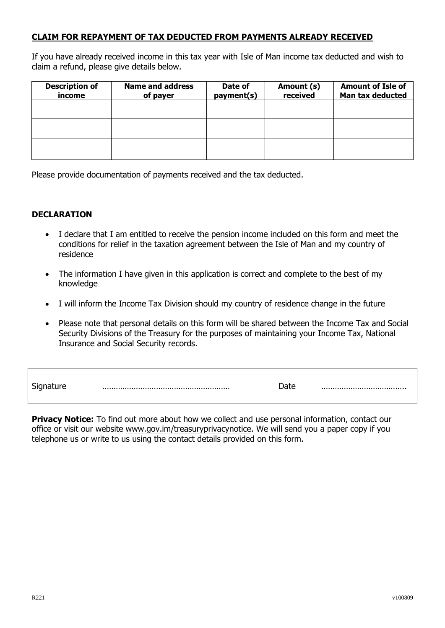# **CLAIM FOR REPAYMENT OF TAX DEDUCTED FROM PAYMENTS ALREADY RECEIVED**

If you have already received income in this tax year with Isle of Man income tax deducted and wish to claim a refund, please give details below.

| <b>Description of</b><br>income | <b>Name and address</b><br>of payer | Date of<br>payment(s) | Amount (s)<br>received | <b>Amount of Isle of</b><br>Man tax deducted |
|---------------------------------|-------------------------------------|-----------------------|------------------------|----------------------------------------------|
|                                 |                                     |                       |                        |                                              |
|                                 |                                     |                       |                        |                                              |
|                                 |                                     |                       |                        |                                              |

Please provide documentation of payments received and the tax deducted.

#### **DECLARATION**

- I declare that I am entitled to receive the pension income included on this form and meet the conditions for relief in the taxation agreement between the Isle of Man and my country of residence
- The information I have given in this application is correct and complete to the best of my knowledge
- I will inform the Income Tax Division should my country of residence change in the future
- Please note that personal details on this form will be shared between the Income Tax and Social Security Divisions of the Treasury for the purposes of maintaining your Income Tax, National Insurance and Social Security records.

| $\sim$<br>Signature | Date |  |
|---------------------|------|--|
|                     |      |  |

**Privacy Notice:** To find out more about how we collect and use personal information, contact our office or visit our website [www.gov.im/treasuryprivacynotice.](http://www.gov.im/treasuryprivacynotice) We will send you a paper copy if you telephone us or write to us using the contact details provided on this form.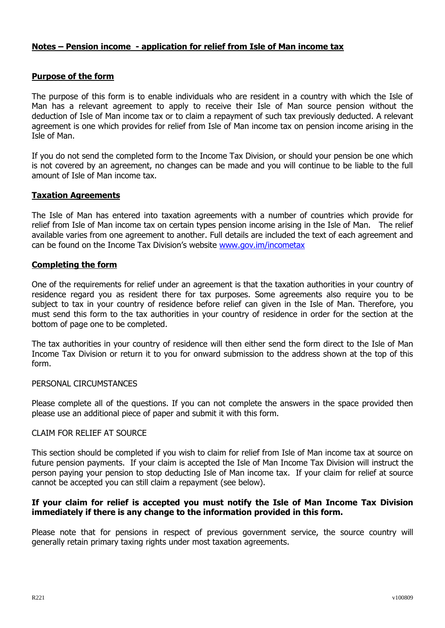# **Notes – Pension income - application for relief from Isle of Man income tax**

#### **Purpose of the form**

The purpose of this form is to enable individuals who are resident in a country with which the Isle of Man has a relevant agreement to apply to receive their Isle of Man source pension without the deduction of Isle of Man income tax or to claim a repayment of such tax previously deducted. A relevant agreement is one which provides for relief from Isle of Man income tax on pension income arising in the Isle of Man.

If you do not send the completed form to the Income Tax Division, or should your pension be one which is not covered by an agreement, no changes can be made and you will continue to be liable to the full amount of Isle of Man income tax.

# **Taxation Agreements**

The Isle of Man has entered into taxation agreements with a number of countries which provide for relief from Isle of Man income tax on certain types pension income arising in the Isle of Man. The relief available varies from one agreement to another. Full details are included the text of each agreement and can be found on the Income Tax Division's website [www.gov.im/incometax](http://www.gov.im/incometax)

#### **Completing the form**

One of the requirements for relief under an agreement is that the taxation authorities in your country of residence regard you as resident there for tax purposes. Some agreements also require you to be subject to tax in your country of residence before relief can given in the Isle of Man. Therefore, you must send this form to the tax authorities in your country of residence in order for the section at the bottom of page one to be completed.

The tax authorities in your country of residence will then either send the form direct to the Isle of Man Income Tax Division or return it to you for onward submission to the address shown at the top of this form.

#### PERSONAL CIRCUMSTANCES

Please complete all of the questions. If you can not complete the answers in the space provided then please use an additional piece of paper and submit it with this form.

#### CLAIM FOR RELIEF AT SOURCE

This section should be completed if you wish to claim for relief from Isle of Man income tax at source on future pension payments. If your claim is accepted the Isle of Man Income Tax Division will instruct the person paying your pension to stop deducting Isle of Man income tax. If your claim for relief at source cannot be accepted you can still claim a repayment (see below).

#### **If your claim for relief is accepted you must notify the Isle of Man Income Tax Division immediately if there is any change to the information provided in this form.**

Please note that for pensions in respect of previous government service, the source country will generally retain primary taxing rights under most taxation agreements.